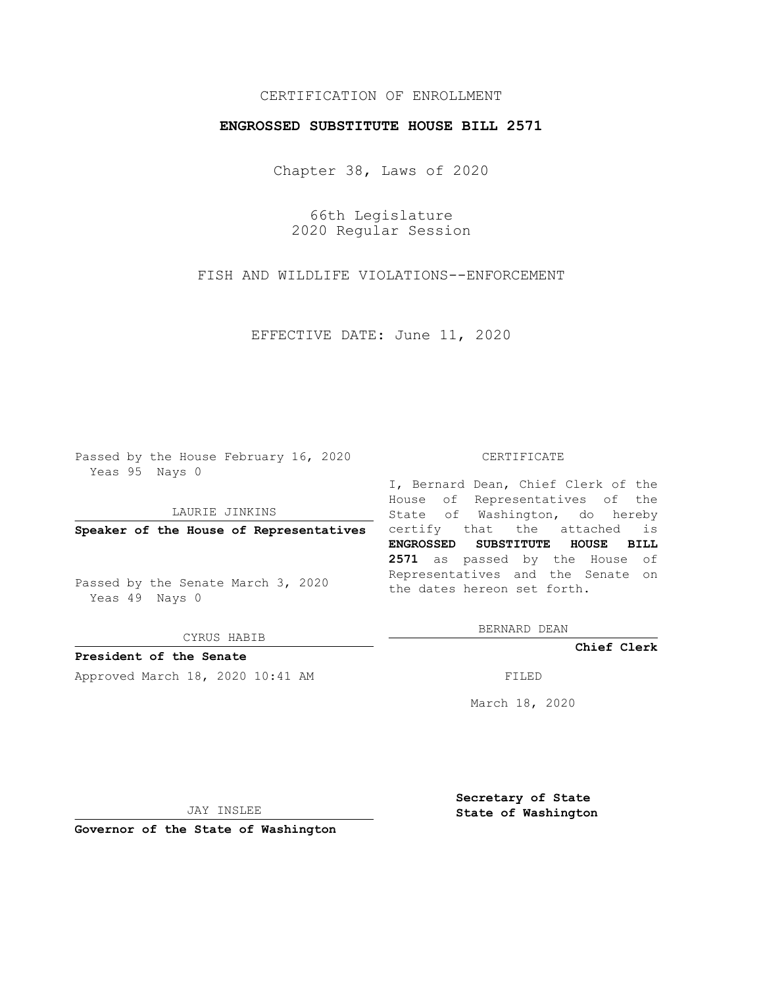## CERTIFICATION OF ENROLLMENT

## **ENGROSSED SUBSTITUTE HOUSE BILL 2571**

Chapter 38, Laws of 2020

66th Legislature 2020 Regular Session

FISH AND WILDLIFE VIOLATIONS--ENFORCEMENT

EFFECTIVE DATE: June 11, 2020

Passed by the House February 16, 2020 Yeas 95 Nays 0

LAURIE JINKINS

Passed by the Senate March 3, 2020 Yeas 49 Nays 0

CYRUS HABIB

**President of the Senate**

Approved March 18, 2020 10:41 AM FILED

## CERTIFICATE

**Speaker of the House of Representatives** certify that the attached is I, Bernard Dean, Chief Clerk of the House of Representatives of the State of Washington, do hereby **ENGROSSED SUBSTITUTE HOUSE BILL 2571** as passed by the House of Representatives and the Senate on the dates hereon set forth.

BERNARD DEAN

**Chief Clerk**

March 18, 2020

JAY INSLEE

**Governor of the State of Washington**

**Secretary of State State of Washington**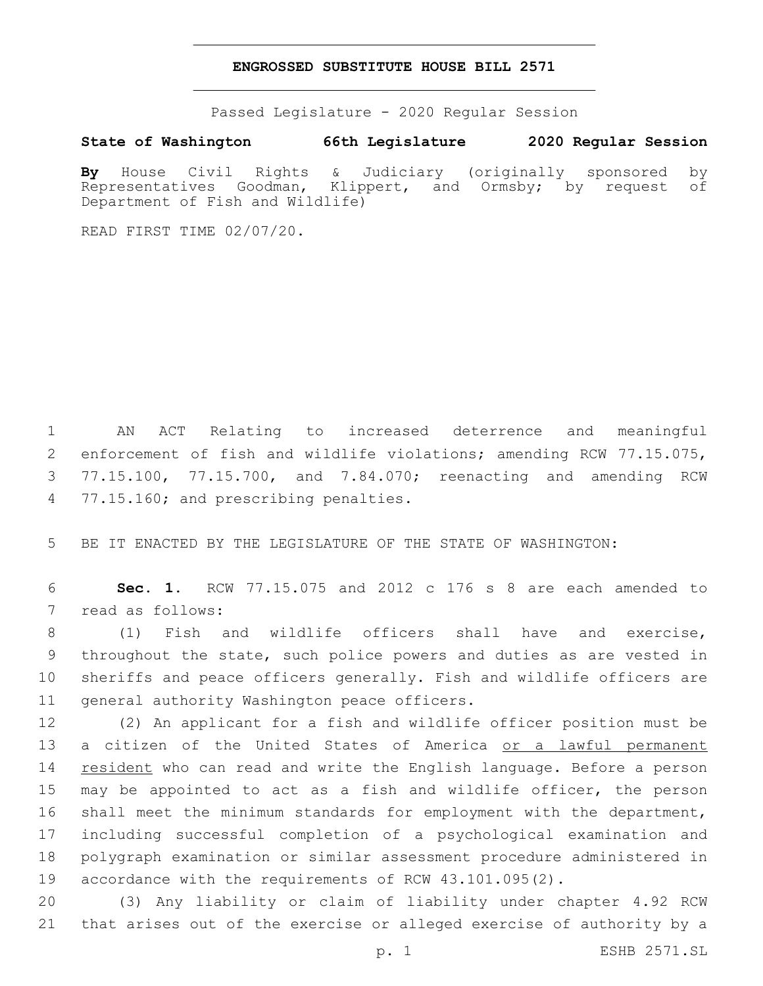## **ENGROSSED SUBSTITUTE HOUSE BILL 2571**

Passed Legislature - 2020 Regular Session

**State of Washington 66th Legislature 2020 Regular Session**

**By** House Civil Rights & Judiciary (originally sponsored by Representatives Goodman, Klippert, and Ormsby; by request of Department of Fish and Wildlife)

READ FIRST TIME 02/07/20.

 AN ACT Relating to increased deterrence and meaningful enforcement of fish and wildlife violations; amending RCW 77.15.075, 77.15.100, 77.15.700, and 7.84.070; reenacting and amending RCW 4 77.15.160; and prescribing penalties.

BE IT ENACTED BY THE LEGISLATURE OF THE STATE OF WASHINGTON:

 **Sec. 1.** RCW 77.15.075 and 2012 c 176 s 8 are each amended to 7 read as follows:

 (1) Fish and wildlife officers shall have and exercise, throughout the state, such police powers and duties as are vested in sheriffs and peace officers generally. Fish and wildlife officers are 11 general authority Washington peace officers.

 (2) An applicant for a fish and wildlife officer position must be a citizen of the United States of America or a lawful permanent resident who can read and write the English language. Before a person may be appointed to act as a fish and wildlife officer, the person shall meet the minimum standards for employment with the department, including successful completion of a psychological examination and polygraph examination or similar assessment procedure administered in accordance with the requirements of RCW 43.101.095(2).

 (3) Any liability or claim of liability under chapter 4.92 RCW that arises out of the exercise or alleged exercise of authority by a

p. 1 ESHB 2571.SL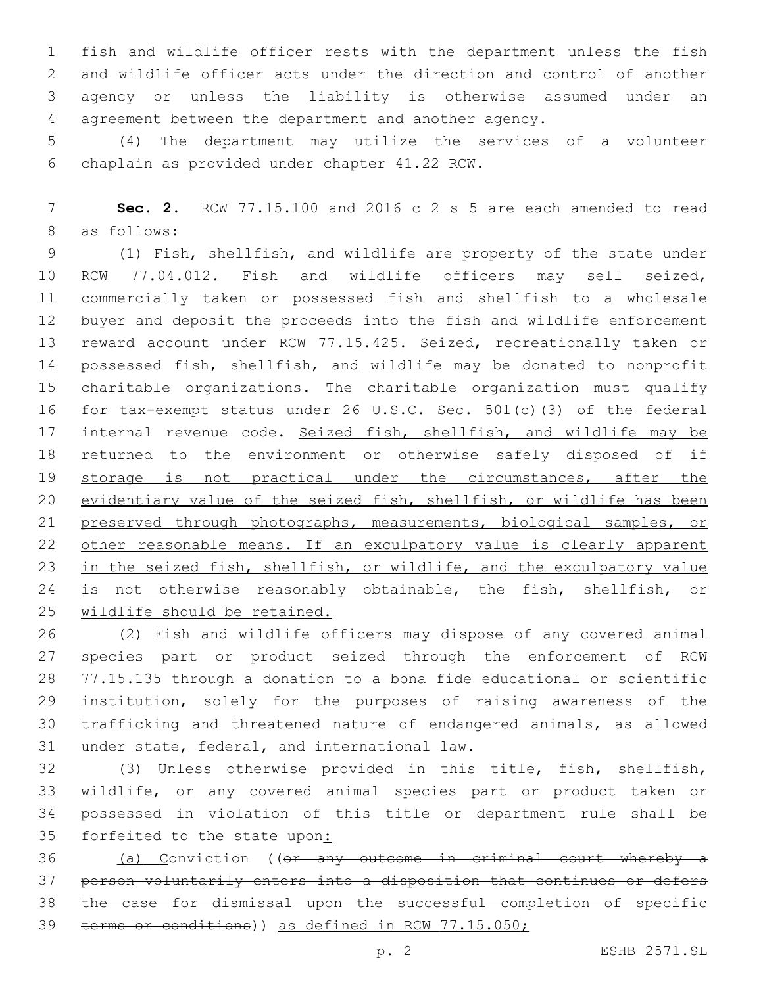fish and wildlife officer rests with the department unless the fish and wildlife officer acts under the direction and control of another agency or unless the liability is otherwise assumed under an agreement between the department and another agency.

 (4) The department may utilize the services of a volunteer chaplain as provided under chapter 41.22 RCW.6

 **Sec. 2.** RCW 77.15.100 and 2016 c 2 s 5 are each amended to read 8 as follows:

 (1) Fish, shellfish, and wildlife are property of the state under RCW 77.04.012. Fish and wildlife officers may sell seized, commercially taken or possessed fish and shellfish to a wholesale buyer and deposit the proceeds into the fish and wildlife enforcement reward account under RCW 77.15.425. Seized, recreationally taken or possessed fish, shellfish, and wildlife may be donated to nonprofit charitable organizations. The charitable organization must qualify for tax-exempt status under 26 U.S.C. Sec. 501(c)(3) of the federal 17 internal revenue code. Seized fish, shellfish, and wildlife may be returned to the environment or otherwise safely disposed of if 19 storage is not practical under the circumstances, after the evidentiary value of the seized fish, shellfish, or wildlife has been preserved through photographs, measurements, biological samples, or 22 other reasonable means. If an exculpatory value is clearly apparent in the seized fish, shellfish, or wildlife, and the exculpatory value 24 is not otherwise reasonably obtainable, the fish, shellfish, or wildlife should be retained.

 (2) Fish and wildlife officers may dispose of any covered animal species part or product seized through the enforcement of RCW 77.15.135 through a donation to a bona fide educational or scientific institution, solely for the purposes of raising awareness of the trafficking and threatened nature of endangered animals, as allowed 31 under state, federal, and international law.

 (3) Unless otherwise provided in this title, fish, shellfish, wildlife, or any covered animal species part or product taken or possessed in violation of this title or department rule shall be 35 forfeited to the state upon:

 (a) Conviction ((or any outcome in criminal court whereby a person voluntarily enters into a disposition that continues or defers the case for dismissal upon the successful completion of specific terms or conditions)) as defined in RCW 77.15.050;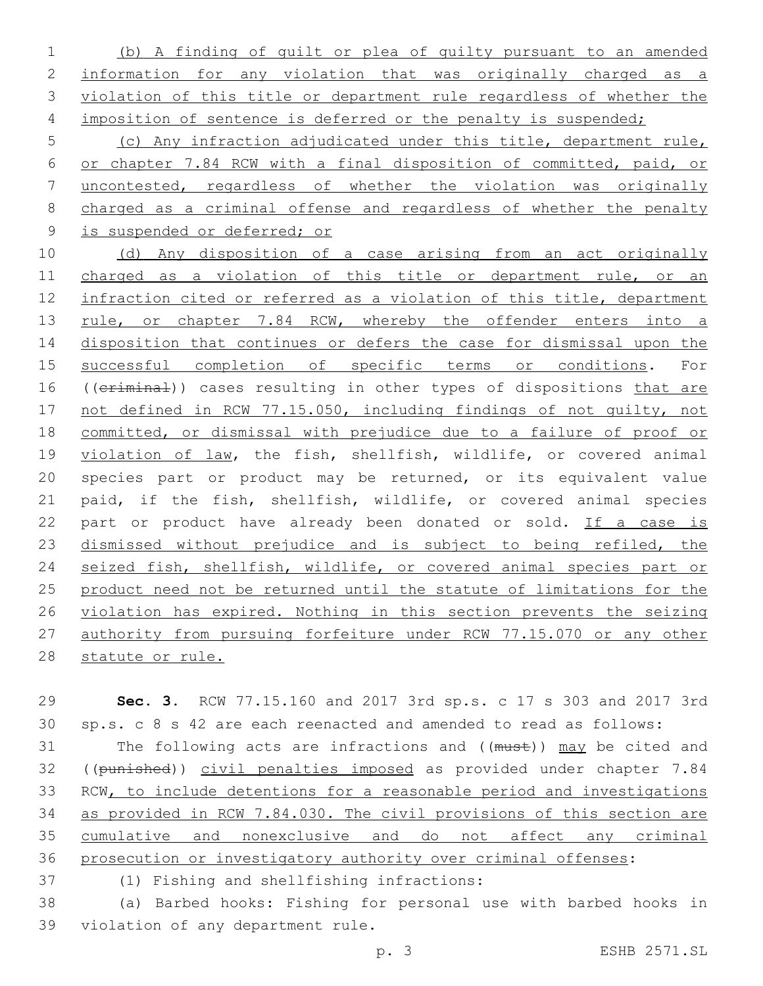(b) A finding of guilt or plea of guilty pursuant to an amended information for any violation that was originally charged as a violation of this title or department rule regardless of whether the 4 imposition of sentence is deferred or the penalty is suspended;

 (c) Any infraction adjudicated under this title, department rule, or chapter 7.84 RCW with a final disposition of committed, paid, or uncontested, regardless of whether the violation was originally charged as a criminal offense and regardless of whether the penalty is suspended or deferred; or

 (d) Any disposition of a case arising from an act originally charged as a violation of this title or department rule, or an infraction cited or referred as a violation of this title, department 13 rule, or chapter 7.84 RCW, whereby the offender enters into a disposition that continues or defers the case for dismissal upon the successful completion of specific terms or conditions. For 16 ((criminal)) cases resulting in other types of dispositions that are not defined in RCW 77.15.050, including findings of not guilty, not committed, or dismissal with prejudice due to a failure of proof or violation of law, the fish, shellfish, wildlife, or covered animal species part or product may be returned, or its equivalent value paid, if the fish, shellfish, wildlife, or covered animal species part or product have already been donated or sold. If a case is 23 dismissed without prejudice and is subject to being refiled, the seized fish, shellfish, wildlife, or covered animal species part or product need not be returned until the statute of limitations for the violation has expired. Nothing in this section prevents the seizing authority from pursuing forfeiture under RCW 77.15.070 or any other 28 statute or rule.

 **Sec. 3.** RCW 77.15.160 and 2017 3rd sp.s. c 17 s 303 and 2017 3rd sp.s. c 8 s 42 are each reenacted and amended to read as follows:

31 The following acts are infractions and ((must)) may be cited and 32 ((punished)) civil penalties imposed as provided under chapter 7.84 RCW, to include detentions for a reasonable period and investigations as provided in RCW 7.84.030. The civil provisions of this section are cumulative and nonexclusive and do not affect any criminal prosecution or investigatory authority over criminal offenses:

(1) Fishing and shellfishing infractions:37

 (a) Barbed hooks: Fishing for personal use with barbed hooks in 39 violation of any department rule.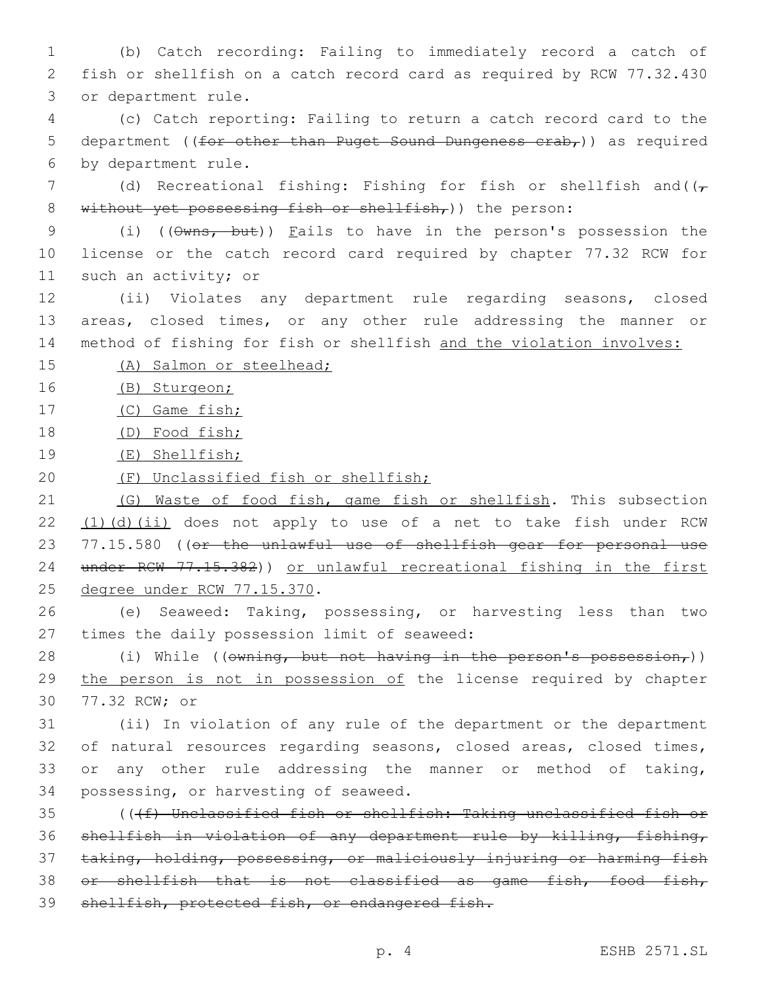1 (b) Catch recording: Failing to immediately record a catch of 2 fish or shellfish on a catch record card as required by RCW 77.32.430 3 or department rule.

4 (c) Catch reporting: Failing to return a catch record card to the 5 department ((for other than Puget Sound Dungeness  $crab<sub>r</sub>$ )) as required 6 by department rule.

7 (d) Recreational fishing: Fishing for fish or shellfish and( $(\tau$ 8 without yet possessing fish or shellfish,)) the person:

9 (i) ((Owns, but)) Fails to have in the person's possession the 10 license or the catch record card required by chapter 77.32 RCW for 11 such an activity; or

12 (ii) Violates any department rule regarding seasons, closed 13 areas, closed times, or any other rule addressing the manner or 14 method of fishing for fish or shellfish and the violation involves:

15 (A) Salmon or steelhead;

16 (B) Sturgeon;

17 (C) Game fish;

18 (D) Food fish;

- 19 (E) Shellfish;
- 20 (F) Unclassified fish or shellfish;

21 (G) Waste of food fish, game fish or shellfish. This subsection 22 (1)(d)(ii) does not apply to use of a net to take fish under RCW 23 77.15.580 ((or the unlawful use of shellfish gear for personal use 24 under RCW 77.15.382)) or unlawful recreational fishing in the first 25 degree under RCW 77.15.370.

26 (e) Seaweed: Taking, possessing, or harvesting less than two 27 times the daily possession limit of seaweed:

28 (i) While (( $\sigma$ wning, but not having in the person's possession,)) 29 the person is not in possession of the license required by chapter 30 77.32 RCW; or

 (ii) In violation of any rule of the department or the department of natural resources regarding seasons, closed areas, closed times, or any other rule addressing the manner or method of taking, 34 possessing, or harvesting of seaweed.

 (((f) Unclassified fish or shellfish: Taking unclassified fish or shellfish in violation of any department rule by killing, fishing, taking, holding, possessing, or maliciously injuring or harming fish or shellfish that is not classified as game fish, food fish, shellfish, protected fish, or endangered fish.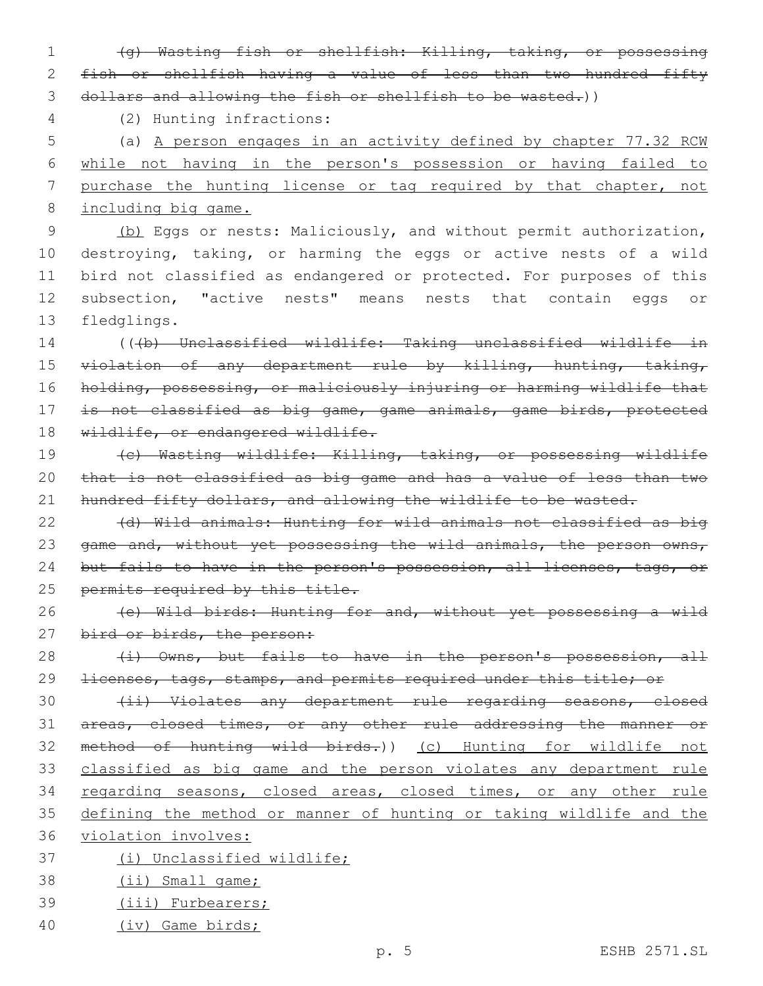1 (g) Wasting fish or shellfish: Killing, taking, or possessing 2 fish or shellfish having a value of less than two hundred fifty 3 dollars and allowing the fish or shellfish to be wasted.))

(2) Hunting infractions:4

 (a) A person engages in an activity defined by chapter 77.32 RCW while not having in the person's possession or having failed to purchase the hunting license or tag required by that chapter, not including big game.

 (b) Eggs or nests: Maliciously, and without permit authorization, destroying, taking, or harming the eggs or active nests of a wild bird not classified as endangered or protected. For purposes of this subsection, "active nests" means nests that contain eggs or 13 fledglings.

14 (((b) Unclassified wildlife: Taking unclassified wildlife in 15 violation of any department rule by killing, hunting, taking, 16 holding, possessing, or maliciously injuring or harming wildlife that 17 is not classified as big game, game animals, game birds, protected 18 wildlife, or endangered wildlife.

19 (c) Wasting wildlife: Killing, taking, or possessing wildlife 20 that is not classified as big game and has a value of less than two 21 hundred fifty dollars, and allowing the wildlife to be wasted.

22 (d) Wild animals: Hunting for wild animals not classified as big 23 game and, without yet possessing the wild animals, the person owns, 24 but fails to have in the person's possession, all licenses, tags, or 25 permits required by this title.

26 (e) Wild birds: Hunting for and, without yet possessing a wild 27 bird or birds, the person:

28 (i) Owns, but fails to have in the person's possession, all 29 <del>licenses, tags, stamps, and permits required under this title; or</del>

 (ii) Violates any department rule regarding seasons, closed areas, closed times, or any other rule addressing the manner or method of hunting wild birds.)) (c) Hunting for wildlife not classified as big game and the person violates any department rule 34 regarding seasons, closed areas, closed times, or any other rule defining the method or manner of hunting or taking wildlife and the

- 36 violation involves:
- 37 (i) Unclassified wildlife;
- 38 (ii) Small game;
- 39 (iii) Furbearers;
- 40 (iv) Game birds;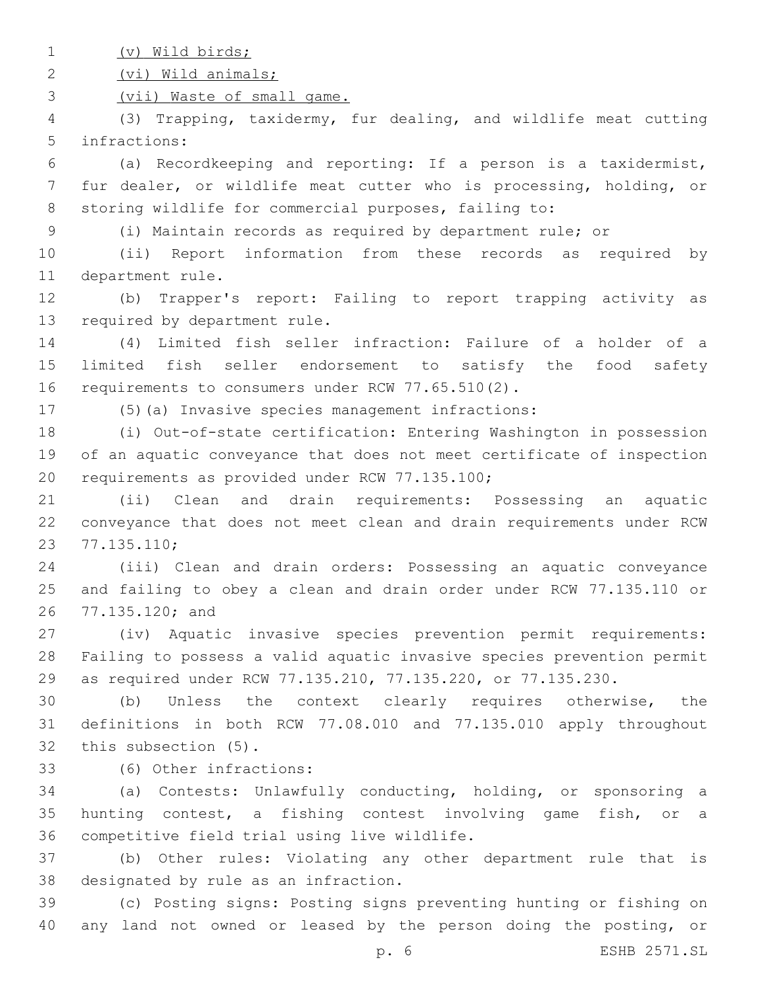(v) Wild birds;

(vi) Wild animals;

(vii) Waste of small game.

 (3) Trapping, taxidermy, fur dealing, and wildlife meat cutting 5 infractions:

 (a) Recordkeeping and reporting: If a person is a taxidermist, fur dealer, or wildlife meat cutter who is processing, holding, or storing wildlife for commercial purposes, failing to:

(i) Maintain records as required by department rule; or

 (ii) Report information from these records as required by 11 department rule.

 (b) Trapper's report: Failing to report trapping activity as 13 required by department rule.

 (4) Limited fish seller infraction: Failure of a holder of a limited fish seller endorsement to satisfy the food safety 16 requirements to consumers under RCW 77.65.510(2).

(5)(a) Invasive species management infractions:

 (i) Out-of-state certification: Entering Washington in possession of an aquatic conveyance that does not meet certificate of inspection 20 requirements as provided under RCW 77.135.100;

 (ii) Clean and drain requirements: Possessing an aquatic conveyance that does not meet clean and drain requirements under RCW 77.135.110;23

 (iii) Clean and drain orders: Possessing an aquatic conveyance and failing to obey a clean and drain order under RCW 77.135.110 or 26 77.135.120; and

 (iv) Aquatic invasive species prevention permit requirements: Failing to possess a valid aquatic invasive species prevention permit as required under RCW 77.135.210, 77.135.220, or 77.135.230.

 (b) Unless the context clearly requires otherwise, the definitions in both RCW 77.08.010 and 77.135.010 apply throughout 32 this subsection (5).

(6) Other infractions:33

 (a) Contests: Unlawfully conducting, holding, or sponsoring a hunting contest, a fishing contest involving game fish, or a 36 competitive field trial using live wildlife.

 (b) Other rules: Violating any other department rule that is 38 designated by rule as an infraction.

 (c) Posting signs: Posting signs preventing hunting or fishing on 40 any land not owned or leased by the person doing the posting, or

p. 6 ESHB 2571.SL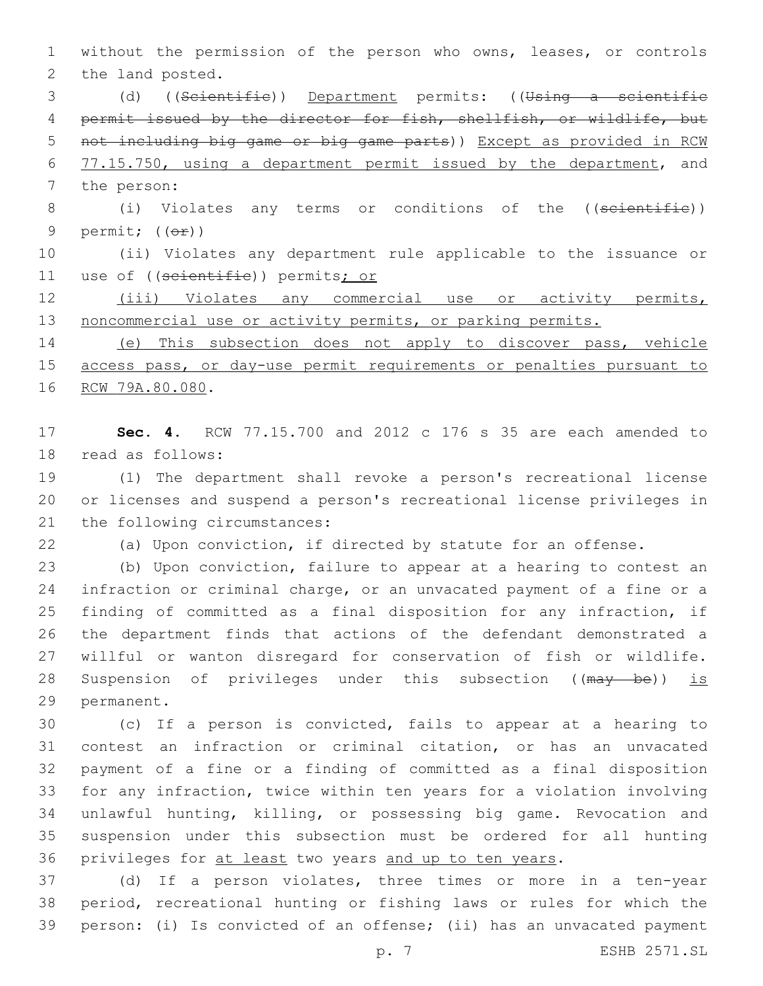without the permission of the person who owns, leases, or controls 2 the land posted.

 (d) ((Scientific)) Department permits: ((Using a scientific 4 permit issued by the director for fish, shellfish, or wildlife, but not including big game or big game parts)) Except as provided in RCW 6 77.15.750, using a department permit issued by the department, and 7 the person:

8 (i) Violates any terms or conditions of the ((scientific)) 9 permit;  $((\theta \pm))$ 

 (ii) Violates any department rule applicable to the issuance or 11 use of ((scientific)) permits; or

 (iii) Violates any commercial use or activity permits, 13 noncommercial use or activity permits, or parking permits.

 (e) This subsection does not apply to discover pass, vehicle access pass, or day-use permit requirements or penalties pursuant to 16 RCW 79A.80.080.

 **Sec. 4.** RCW 77.15.700 and 2012 c 176 s 35 are each amended to 18 read as follows:

 (1) The department shall revoke a person's recreational license or licenses and suspend a person's recreational license privileges in 21 the following circumstances:

(a) Upon conviction, if directed by statute for an offense.

 (b) Upon conviction, failure to appear at a hearing to contest an infraction or criminal charge, or an unvacated payment of a fine or a finding of committed as a final disposition for any infraction, if the department finds that actions of the defendant demonstrated a willful or wanton disregard for conservation of fish or wildlife. 28 Suspension of privileges under this subsection ((may be)) is 29 permanent.

 (c) If a person is convicted, fails to appear at a hearing to contest an infraction or criminal citation, or has an unvacated payment of a fine or a finding of committed as a final disposition for any infraction, twice within ten years for a violation involving unlawful hunting, killing, or possessing big game. Revocation and suspension under this subsection must be ordered for all hunting 36 privileges for at least two years and up to ten years.

 (d) If a person violates, three times or more in a ten-year period, recreational hunting or fishing laws or rules for which the person: (i) Is convicted of an offense; (ii) has an unvacated payment

p. 7 ESHB 2571.SL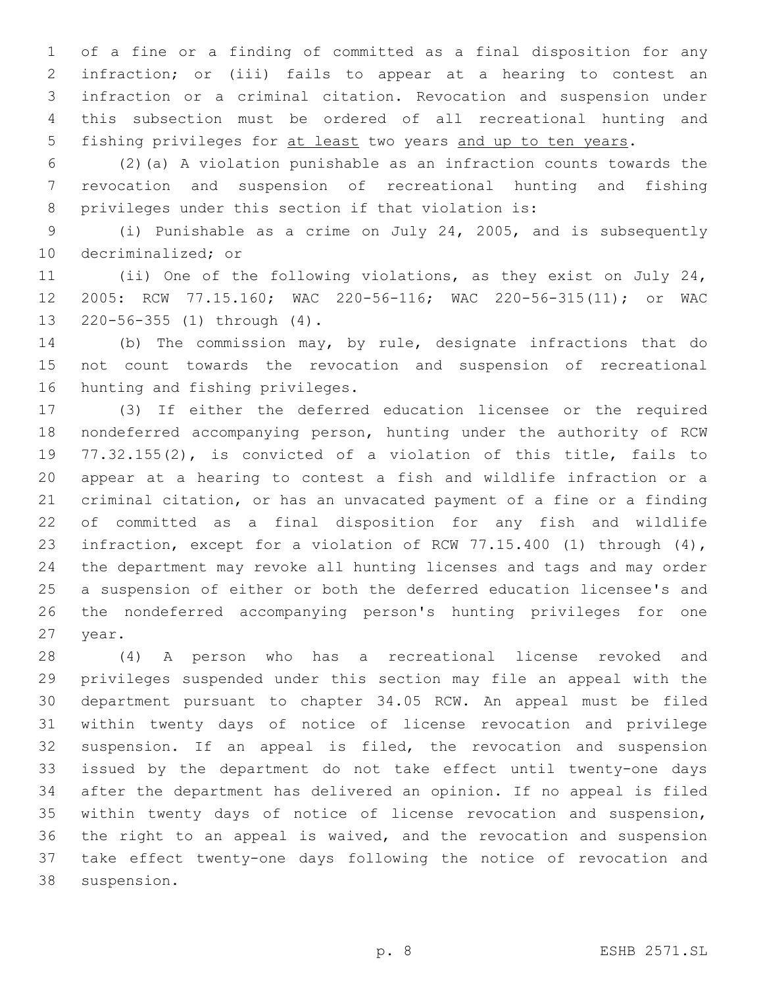of a fine or a finding of committed as a final disposition for any infraction; or (iii) fails to appear at a hearing to contest an infraction or a criminal citation. Revocation and suspension under this subsection must be ordered of all recreational hunting and 5 fishing privileges for at least two years and up to ten years.

 (2)(a) A violation punishable as an infraction counts towards the revocation and suspension of recreational hunting and fishing privileges under this section if that violation is:

 (i) Punishable as a crime on July 24, 2005, and is subsequently 10 decriminalized; or

 (ii) One of the following violations, as they exist on July 24, 2005: RCW 77.15.160; WAC 220-56-116; WAC 220-56-315(11); or WAC 13 220-56-355 (1) through (4).

 (b) The commission may, by rule, designate infractions that do not count towards the revocation and suspension of recreational 16 hunting and fishing privileges.

 (3) If either the deferred education licensee or the required nondeferred accompanying person, hunting under the authority of RCW 77.32.155(2), is convicted of a violation of this title, fails to appear at a hearing to contest a fish and wildlife infraction or a criminal citation, or has an unvacated payment of a fine or a finding of committed as a final disposition for any fish and wildlife infraction, except for a violation of RCW 77.15.400 (1) through (4), the department may revoke all hunting licenses and tags and may order a suspension of either or both the deferred education licensee's and the nondeferred accompanying person's hunting privileges for one 27 year.

 (4) A person who has a recreational license revoked and privileges suspended under this section may file an appeal with the department pursuant to chapter 34.05 RCW. An appeal must be filed within twenty days of notice of license revocation and privilege suspension. If an appeal is filed, the revocation and suspension issued by the department do not take effect until twenty-one days after the department has delivered an opinion. If no appeal is filed within twenty days of notice of license revocation and suspension, the right to an appeal is waived, and the revocation and suspension take effect twenty-one days following the notice of revocation and 38 suspension.